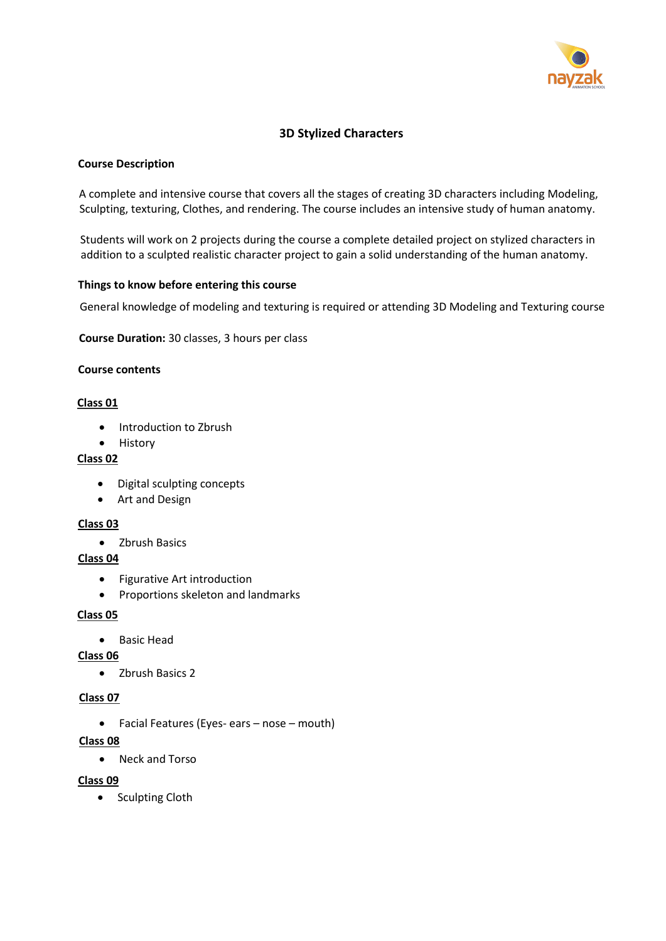

# **3D Stylized Characters**

## **Course Description**

A complete and intensive course that covers all the stages of creating 3D characters including Modeling, Sculpting, texturing, Clothes, and rendering. The course includes an intensive study of human anatomy.

Students will work on 2 projects during the course a complete detailed project on stylized characters in addition to a sculpted realistic character project to gain a solid understanding of the human anatomy.

### **Things to know before entering this course**

General knowledge of modeling and texturing is required or attending 3D Modeling and Texturing course

**Course Duration:** 30 classes, 3 hours per class

## **Course contents**

## **Class 01**

- Introduction to Zbrush
- History

# **Class 02**

- Digital sculpting concepts
- Art and Design

### **Class 03**

• Zbrush Basics

## **Class 04**

- Figurative Art introduction
- Proportions skeleton and landmarks

### **Class 05**

• Basic Head

### **Class 06**

• Zbrush Basics 2

### **Class 07**

• Facial Features (Eyes- ears – nose – mouth)

## **Class 08**

• Neck and Torso

### **Class 09**

• Sculpting Cloth